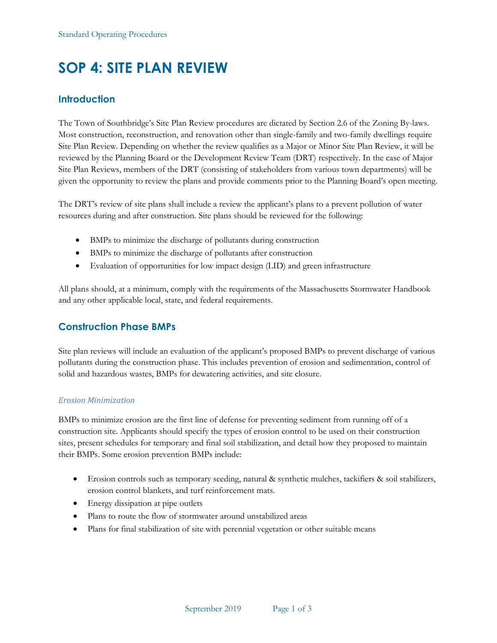# **SOP 4: SITE PLAN REVIEW**

## **Introduction**

The Town of Southbridge's Site Plan Review procedures are dictated by Section 2.6 of the Zoning By-laws. Most construction, reconstruction, and renovation other than single-family and two-family dwellings require Site Plan Review. Depending on whether the review qualifies as a Major or Minor Site Plan Review, it will be reviewed by the Planning Board or the Development Review Team (DRT) respectively. In the case of Major Site Plan Reviews, members of the DRT (consisting of stakeholders from various town departments) will be given the opportunity to review the plans and provide comments prior to the Planning Board's open meeting.

The DRT's review of site plans shall include a review the applicant's plans to a prevent pollution of water resources during and after construction. Site plans should be reviewed for the following:

- BMPs to minimize the discharge of pollutants during construction
- BMPs to minimize the discharge of pollutants after construction
- Evaluation of opportunities for low impact design (LID) and green infrastructure

All plans should, at a minimum, comply with the requirements of the Massachusetts Stormwater Handbook and any other applicable local, state, and federal requirements.

# **Construction Phase BMPs**

Site plan reviews will include an evaluation of the applicant's proposed BMPs to prevent discharge of various pollutants during the construction phase. This includes prevention of erosion and sedimentation, control of solid and hazardous wastes, BMPs for dewatering activities, and site closure.

#### *Erosion Minimization*

BMPs to minimize erosion are the first line of defense for preventing sediment from running off of a construction site. Applicants should specify the types of erosion control to be used on their construction sites, present schedules for temporary and final soil stabilization, and detail how they proposed to maintain their BMPs. Some erosion prevention BMPs include:

- Erosion controls such as temporary seeding, natural & synthetic mulches, tackifiers & soil stabilizers, erosion control blankets, and turf reinforcement mats.
- Energy dissipation at pipe outlets
- Plans to route the flow of stormwater around unstabilized areas
- Plans for final stabilization of site with perennial vegetation or other suitable means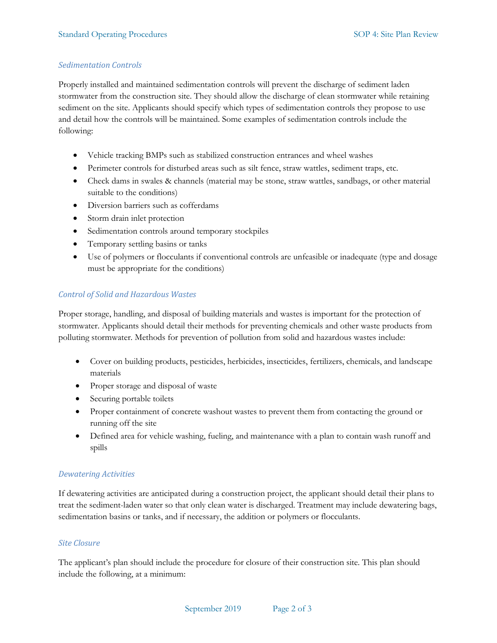#### *Sedimentation Controls*

Properly installed and maintained sedimentation controls will prevent the discharge of sediment laden stormwater from the construction site. They should allow the discharge of clean stormwater while retaining sediment on the site. Applicants should specify which types of sedimentation controls they propose to use and detail how the controls will be maintained. Some examples of sedimentation controls include the following:

- Vehicle tracking BMPs such as stabilized construction entrances and wheel washes
- Perimeter controls for disturbed areas such as silt fence, straw wattles, sediment traps, etc.
- Check dams in swales & channels (material may be stone, straw wattles, sandbags, or other material suitable to the conditions)
- Diversion barriers such as cofferdams
- Storm drain inlet protection
- Sedimentation controls around temporary stockpiles
- Temporary settling basins or tanks
- Use of polymers or flocculants if conventional controls are unfeasible or inadequate (type and dosage must be appropriate for the conditions)

#### *Control of Solid and Hazardous Wastes*

Proper storage, handling, and disposal of building materials and wastes is important for the protection of stormwater. Applicants should detail their methods for preventing chemicals and other waste products from polluting stormwater. Methods for prevention of pollution from solid and hazardous wastes include:

- Cover on building products, pesticides, herbicides, insecticides, fertilizers, chemicals, and landscape materials
- Proper storage and disposal of waste
- Securing portable toilets
- Proper containment of concrete washout wastes to prevent them from contacting the ground or running off the site
- Defined area for vehicle washing, fueling, and maintenance with a plan to contain wash runoff and spills

#### *Dewatering Activities*

If dewatering activities are anticipated during a construction project, the applicant should detail their plans to treat the sediment-laden water so that only clean water is discharged. Treatment may include dewatering bags, sedimentation basins or tanks, and if necessary, the addition or polymers or flocculants.

#### *Site Closure*

The applicant's plan should include the procedure for closure of their construction site. This plan should include the following, at a minimum: